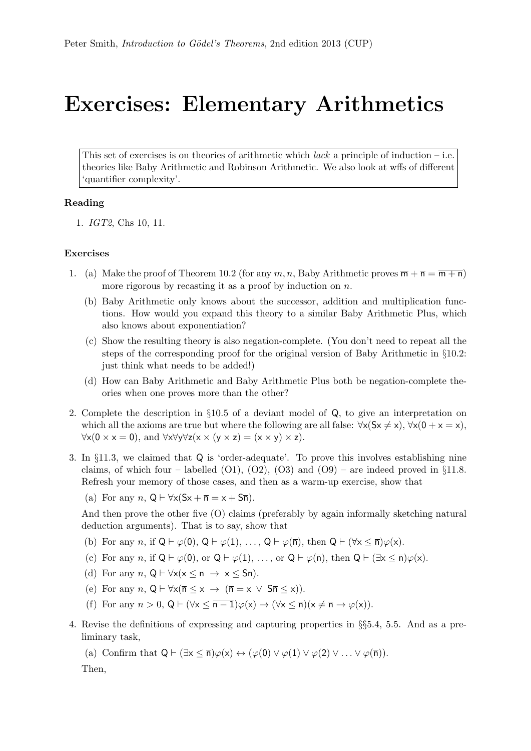## Exercises: Elementary Arithmetics

This set of exercises is on theories of arithmetic which *lack* a principle of induction – i.e. theories like Baby Arithmetic and Robinson Arithmetic. We also look at wffs of different 'quantifier complexity'.

## Reading

1. IGT2, Chs 10, 11.

## Exercises

- 1. (a) Make the proof of Theorem 10.2 (for any  $m, n$ , Baby Arithmetic proves  $\overline{m} + \overline{n} = \overline{m + n}$ ) more rigorous by recasting it as a proof by induction on  $n$ .
	- (b) Baby Arithmetic only knows about the successor, addition and multiplication functions. How would you expand this theory to a similar Baby Arithmetic Plus, which also knows about exponentiation?
	- (c) Show the resulting theory is also negation-complete. (You don't need to repeat all the steps of the corresponding proof for the original version of Baby Arithmetic in §10.2: just think what needs to be added!)
	- (d) How can Baby Arithmetic and Baby Arithmetic Plus both be negation-complete theories when one proves more than the other?
- 2. Complete the description in §10.5 of a deviant model of Q, to give an interpretation on which all the axioms are true but where the following are all false:  $\forall x (Sx \neq x), \forall x (0 + x = x)$ ,  $\forall x (0 \times x = 0)$ , and  $\forall x \forall y \forall z (x \times (y \times z) = (x \times y) \times z)$ .
- 3. In §11.3, we claimed that Q is 'order-adequate'. To prove this involves establishing nine claims, of which four – labelled  $(01)$ ,  $(02)$ ,  $(03)$  and  $(09)$  – are indeed proved in §11.8. Refresh your memory of those cases, and then as a warm-up exercise, show that
	- (a) For any  $n, Q \vdash \forall x (Sx + \overline{n} = x + S\overline{n}).$

And then prove the other five (O) claims (preferably by again informally sketching natural deduction arguments). That is to say, show that

- (b) For any n, if  $Q \vdash \varphi(0), Q \vdash \varphi(1), \ldots, Q \vdash \varphi(\overline{n}),$  then  $Q \vdash (\forall x \leq \overline{n})\varphi(x)$ .
- (c) For any n, if  $Q \vdash \varphi(0)$ , or  $Q \vdash \varphi(1), \ldots$ , or  $Q \vdash \varphi(\overline{n})$ , then  $Q \vdash (\exists x \leq \overline{n})\varphi(x)$ .
- (d) For any  $n, Q \vdash \forall x (x \leq \overline{n} \rightarrow x \leq S\overline{n}).$
- (e) For any n,  $Q \vdash \forall x (\overline{n} \leq x \rightarrow (\overline{n} = x \vee S\overline{n} \leq x)).$
- (f) For any  $n > 0$ ,  $Q \vdash (\forall x \leq \overline{n-1})\varphi(x) \rightarrow (\forall x \leq \overline{n})(x \neq \overline{n} \rightarrow \varphi(x)).$
- 4. Revise the definitions of expressing and capturing properties in §§5.4, 5.5. And as a preliminary task,
	- (a) Confirm that  $Q \vdash (\exists x \leq \overline{n}) \varphi(x) \leftrightarrow (\varphi(0) \vee \varphi(1) \vee \varphi(2) \vee \ldots \vee \varphi(\overline{n})).$

Then,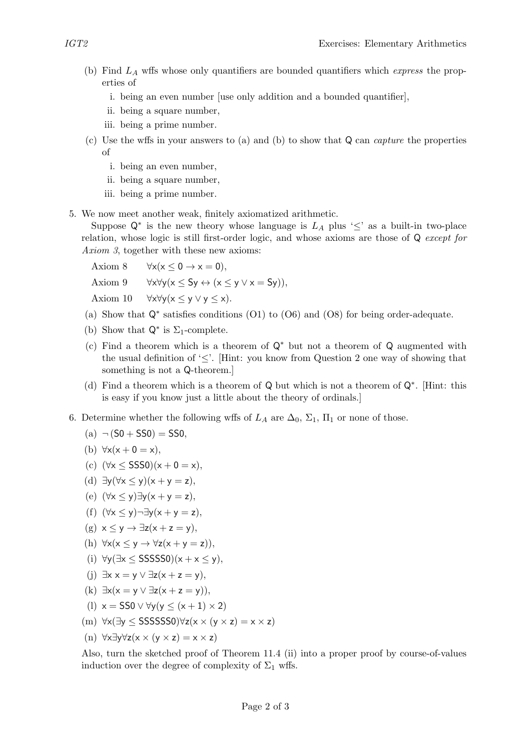- (b) Find  $L_A$  wffs whose only quantifiers are bounded quantifiers which *express* the properties of
	- i. being an even number [use only addition and a bounded quantifier],
	- ii. being a square number,
	- iii. being a prime number.
- (c) Use the wffs in your answers to (a) and (b) to show that Q can capture the properties of
	- i. being an even number,
	- ii. being a square number,
	- iii. being a prime number.
- 5. We now meet another weak, finitely axiomatized arithmetic.

Suppose  $\mathsf{Q}^*$  is the new theory whose language is  $L_A$  plus ' $\leq'$  as a built-in two-place relation, whose logic is still first-order logic, and whose axioms are those of Q except for Axiom 3, together with these new axioms:

Axiom 8  $\forall x(x \leq 0 \rightarrow x = 0)$ , Axiom 9  $\forall x \forall y (x \leq Sy \leftrightarrow (x \leq y \vee x = Sy)).$ Axiom 10  $\forall x \forall y (x \leq y \lor y \leq x)$ .

- (a) Show that Q<sup>∗</sup> satisfies conditions (O1) to (O6) and (O8) for being order-adequate.
- (b) Show that  $\mathsf{Q}^*$  is  $\Sigma_1$ -complete.
- (c) Find a theorem which is a theorem of Q<sup>∗</sup> but not a theorem of Q augmented with the usual definition of  $\leq$ . [Hint: you know from Question 2 one way of showing that something is not a Q-theorem.]
- (d) Find a theorem which is a theorem of Q but which is not a theorem of Q<sup>∗</sup> . [Hint: this is easy if you know just a little about the theory of ordinals.]
- 6. Determine whether the following wffs of  $L_A$  are  $\Delta_0$ ,  $\Sigma_1$ ,  $\Pi_1$  or none of those.

(a) 
$$
\neg
$$
 (S0 + SSO) = SSO,

(b) 
$$
\forall x(x+0=x),
$$

- (c)  $(\forall x < SSS0)(x + 0 = x),$
- (d)  $\exists y (\forall x \le y)(x + y = z),$
- (e)  $(\forall x \le y) \exists y (x + y = z),$
- (f)  $(\forall x \le y) \neg \exists y (x + y = z),$
- $(g)$   $x < y \rightarrow \exists z(x + z = y)$ ,
- (h)  $\forall x(x \leq y \rightarrow \forall z(x + y = z)).$
- (i)  $\forall y (\exists x \leq SSSSS0)(x + x \leq y),$
- (i)  $\exists x \ x = y \lor \exists z(x + z = y)$ ,
- (k)  $\exists x(x=y \vee \exists z(x+z=y)),$
- (l)  $x =$  SS0  $\vee \forall y (y \leq (x + 1) \times 2)$
- (m) ∀x(∃y ≤ SSSSSS0)∀z(x × (y × z) = x × z)
- (n) ∀x∃y∀z(x × (y × z) = x × z)

Also, turn the sketched proof of Theorem 11.4 (ii) into a proper proof by course-of-values induction over the degree of complexity of  $\Sigma_1$  wffs.